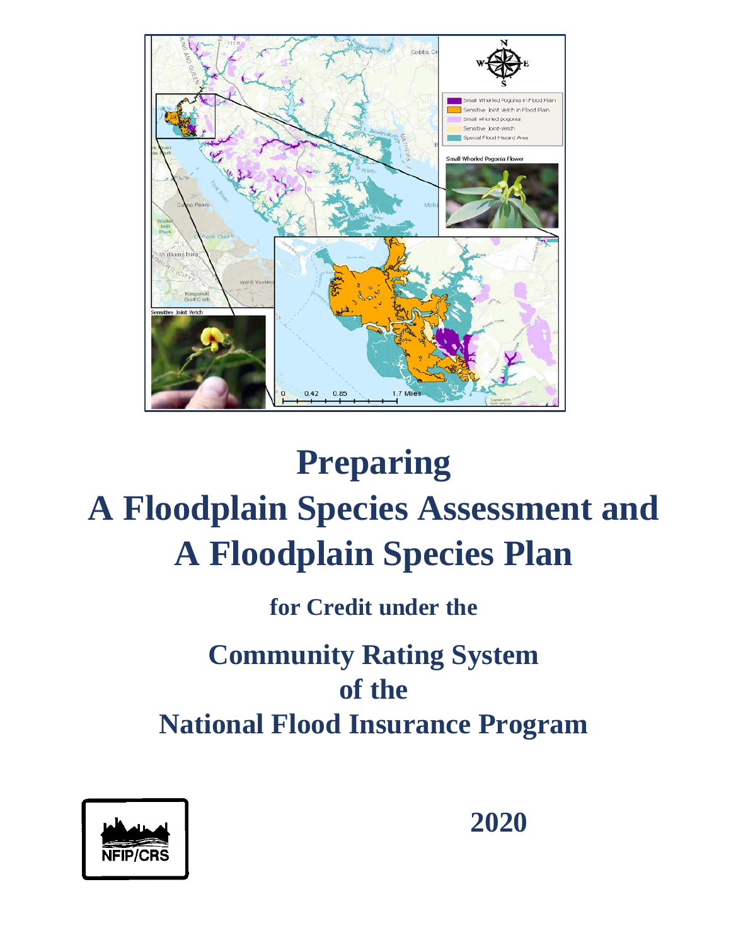

# **Preparing A Floodplain Species Assessment and A Floodplain Species Plan**

**for Credit under the**

## **Community Rating System of the National Flood Insurance Program**



**2020**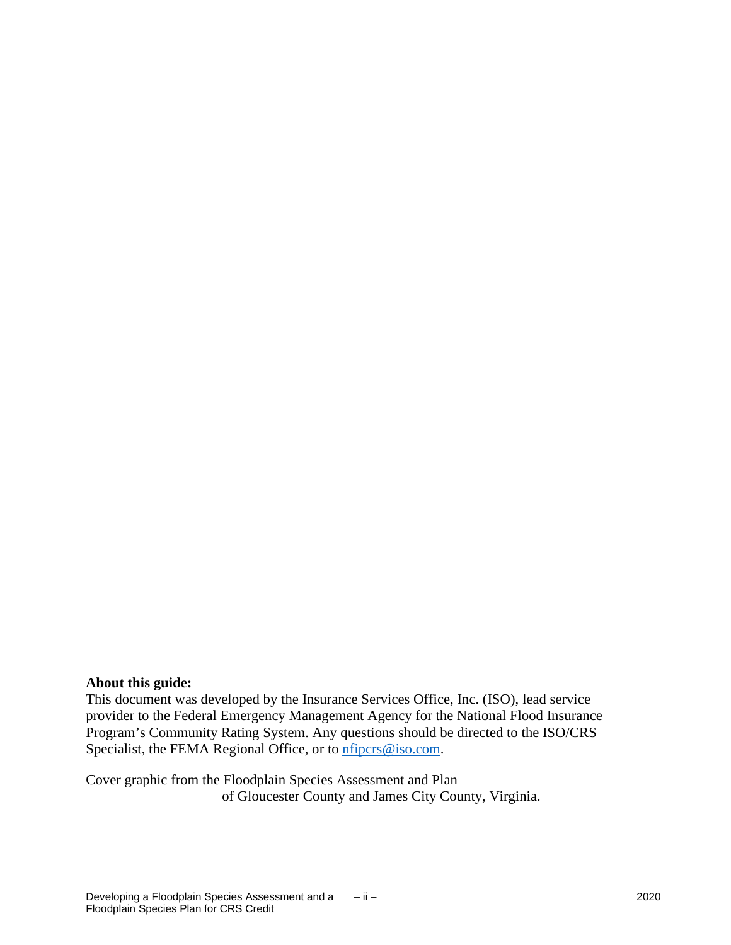#### **About this guide:**

This document was developed by the Insurance Services Office, Inc. (ISO), lead service provider to the Federal Emergency Management Agency for the National Flood Insurance Program's Community Rating System. Any questions should be directed to the ISO/CRS Specialist, the FEMA Regional Office, or to *nfipcrs@iso.com*.

Cover graphic from the Floodplain Species Assessment and Plan of Gloucester County and James City County, Virginia.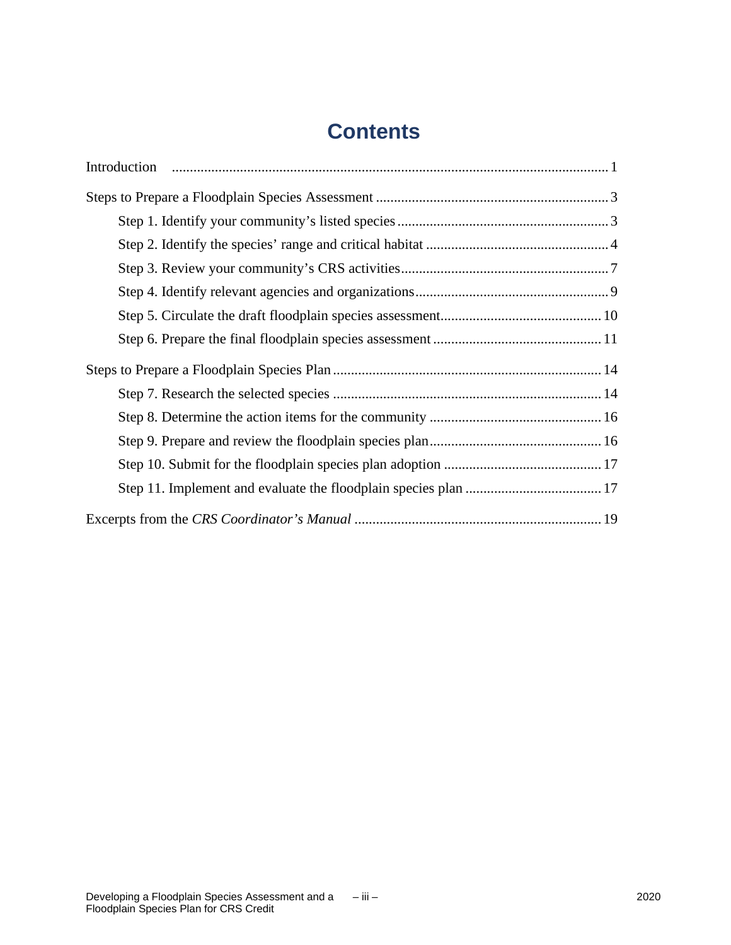## **Contents**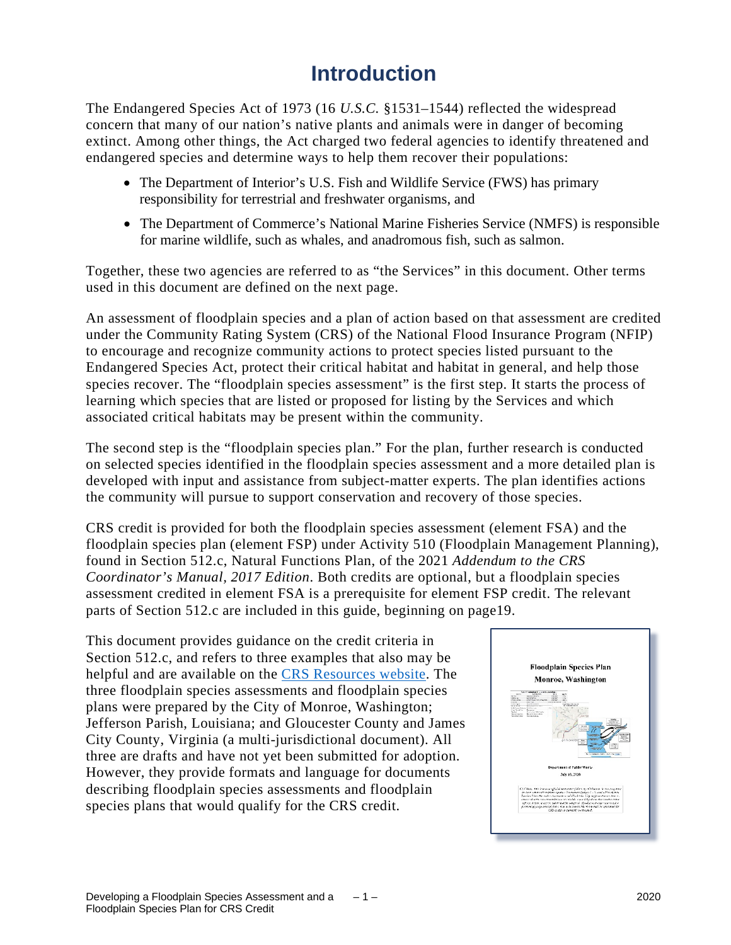## **Introduction**

The Endangered Species Act of 1973 (16 *U.S.C.* §1531–1544) reflected the widespread concern that many of our nation's native plants and animals were in danger of becoming extinct. Among other things, the Act charged two federal agencies to identify threatened and endangered species and determine ways to help them recover their populations:

- The Department of Interior's U.S. Fish and Wildlife Service (FWS) has primary responsibility for terrestrial and freshwater organisms, and
- The Department of Commerce's National Marine Fisheries Service (NMFS) is responsible for marine wildlife, such as whales, and anadromous fish, such as salmon.

Together, these two agencies are referred to as "the Services" in this document. Other terms used in this document are defined on the next page.

An assessment of floodplain species and a plan of action based on that assessment are credited under the Community Rating System (CRS) of the National Flood Insurance Program (NFIP) to encourage and recognize community actions to protect species listed pursuant to the Endangered Species Act, protect their critical habitat and habitat in general, and help those species recover. The "floodplain species assessment" is the first step. It starts the process of learning which species that are listed or proposed for listing by the Services and which associated critical habitats may be present within the community.

The second step is the "floodplain species plan." For the plan, further research is conducted on selected species identified in the floodplain species assessment and a more detailed plan is developed with input and assistance from subject-matter experts. The plan identifies actions the community will pursue to support conservation and recovery of those species.

CRS credit is provided for both the floodplain species assessment (element FSA) and the floodplain species plan (element FSP) under Activity 510 (Floodplain Management Planning), found in Section 512.c, Natural Functions Plan, of the 2021 *Addendum to the CRS Coordinator's Manual, 2017 Edition*. Both credits are optional, but a floodplain species assessment credited in element FSA is a prerequisite for element FSP credit. The relevant parts of Section 512.c are included in this guide, beginning on page19.

This document provides guidance on the credit criteria in Section 512.c, and refers to three examples that also may be helpful and are available on the [CRS Resources website.](https://crsresources.org/500-2/) The three floodplain species assessments and floodplain species plans were prepared by the City of Monroe, Washington; Jefferson Parish, Louisiana; and Gloucester County and James City County, Virginia (a multi-jurisdictional document). All three are drafts and have not yet been submitted for adoption. However, they provide formats and language for documents describing floodplain species assessments and floodplain species plans that would qualify for the CRS credit.

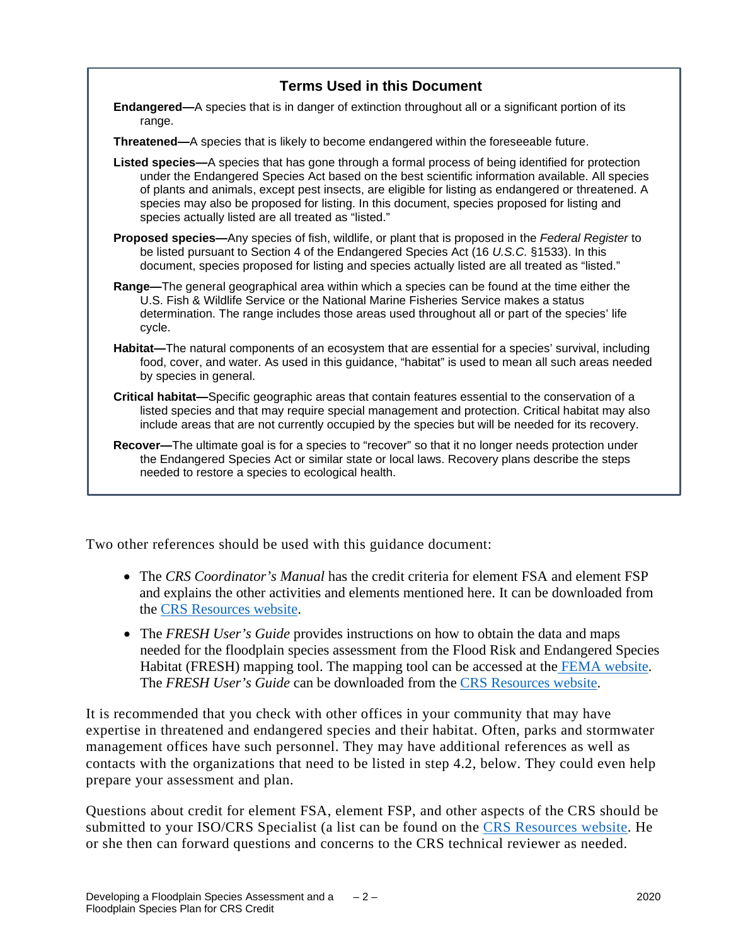#### **Terms Used in this Document**

**Endangered—**A species that is in danger of extinction throughout all or a significant portion of its range.

**Threatened—**A species that is likely to become endangered within the foreseeable future.

- **Listed species—**A species that has gone through a formal process of being identified for protection under the Endangered Species Act based on the best scientific information available. All species of plants and animals, except pest insects, are eligible for listing as endangered or threatened. A species may also be proposed for listing. In this document, species proposed for listing and species actually listed are all treated as "listed."
- **Proposed species—**Any species of fish, wildlife, or plant that is proposed in the *Federal Register* to be listed pursuant to Section 4 of the Endangered Species Act (16 *U.S.C.* §1533). In this document, species proposed for listing and species actually listed are all treated as "listed."
- **Range—**The general geographical area within which a species can be found at the time either the U.S. Fish & Wildlife Service or the National Marine Fisheries Service makes a status determination. The range includes those areas used throughout all or part of the species' life cycle.
- **Habitat—**The natural components of an ecosystem that are essential for a species' survival, including food, cover, and water. As used in this guidance, "habitat" is used to mean all such areas needed by species in general.
- **Critical habitat—**Specific geographic areas that contain features essential to the conservation of a listed species and that may require special management and protection. Critical habitat may also include areas that are not currently occupied by the species but will be needed for its recovery.
- **Recover—**The ultimate goal is for a species to "recover" so that it no longer needs protection under the Endangered Species Act or similar state or local laws. Recovery plans describe the steps needed to restore a species to ecological health.

Two other references should be used with this guidance document:

- The *CRS Coordinator's Manual* has the credit criteria for element FSA and element FSP and explains the other activities and elements mentioned here. It can be downloaded from the [CRS Resources website.](https://crsresources.org/manual/)
- The *FRESH User's Guide* provides instructions on how to obtain the data and maps needed for the floodplain species assessment from the Flood Risk and Endangered Species Habitat (FRESH) mapping tool. The mapping tool can be accessed at the [FEMA website.](https://fema.maps.arcgis.com/apps/webappviewer/index.html?id=c01581a28192417b90b7898ebc323c5c) The *FRESH User's Guide* can be downloaded from the [CRS Resources website.](https://crsresources.org/500-2/)

It is recommended that you check with other offices in your community that may have expertise in threatened and endangered species and their habitat. Often, parks and stormwater management offices have such personnel. They may have additional references as well as contacts with the organizations that need to be listed in step 4.2, below. They could even help prepare your assessment and plan.

Questions about credit for element FSA, element FSP, and other aspects of the CRS should be submitted to your ISO/CRS Specialist (a list can be found on the [CRS Resources](https://crsresources.org/100-2/) website. He or she then can forward questions and concerns to the CRS technical reviewer as needed.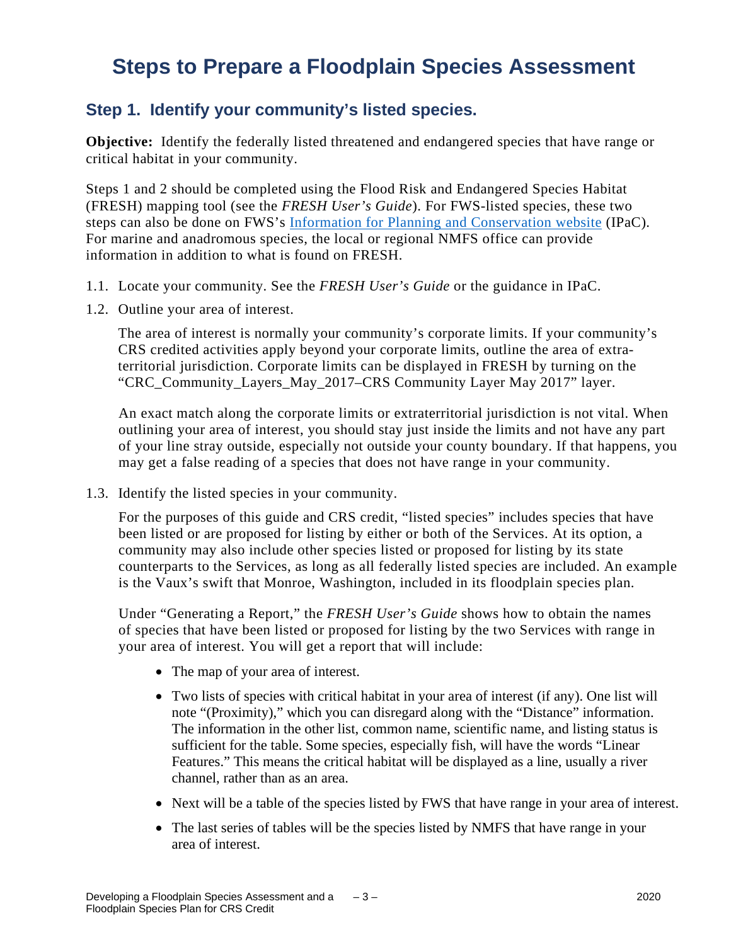## **Steps to Prepare a Floodplain Species Assessment**

#### **Step 1. Identify your community's listed species.**

**Objective:** Identify the federally listed threatened and endangered species that have range or critical habitat in your community.

Steps 1 and 2 should be completed using the Flood Risk and Endangered Species Habitat (FRESH) mapping tool (see the *FRESH User's Guide*). For FWS-listed species, these two steps can also be done on FWS's [Information for Planning and Conservation website](https://ecos.fws.gov/ipac/) (IPaC). For marine and anadromous species, the local or regional NMFS office can provide information in addition to what is found on FRESH.

- 1.1. Locate your community. See the *FRESH User's Guide* or the guidance in IPaC.
- 1.2. Outline your area of interest.

The area of interest is normally your community's corporate limits. If your community's CRS credited activities apply beyond your corporate limits, outline the area of extraterritorial jurisdiction. Corporate limits can be displayed in FRESH by turning on the "CRC\_Community\_Layers\_May\_2017–CRS Community Layer May 2017" layer.

An exact match along the corporate limits or extraterritorial jurisdiction is not vital. When outlining your area of interest, you should stay just inside the limits and not have any part of your line stray outside, especially not outside your county boundary. If that happens, you may get a false reading of a species that does not have range in your community.

1.3. Identify the listed species in your community.

For the purposes of this guide and CRS credit, "listed species" includes species that have been listed or are proposed for listing by either or both of the Services. At its option, a community may also include other species listed or proposed for listing by its state counterparts to the Services, as long as all federally listed species are included. An example is the Vaux's swift that Monroe, Washington, included in its floodplain species plan.

Under "Generating a Report," the *FRESH User's Guide* shows how to obtain the names of species that have been listed or proposed for listing by the two Services with range in your area of interest. You will get a report that will include:

- The map of your area of interest.
- Two lists of species with critical habitat in your area of interest (if any). One list will note "(Proximity)," which you can disregard along with the "Distance" information. The information in the other list, common name, scientific name, and listing status is sufficient for the table. Some species, especially fish, will have the words "Linear Features." This means the critical habitat will be displayed as a line, usually a river channel, rather than as an area.
- Next will be a table of the species listed by FWS that have range in your area of interest.
- The last series of tables will be the species listed by NMFS that have range in your area of interest.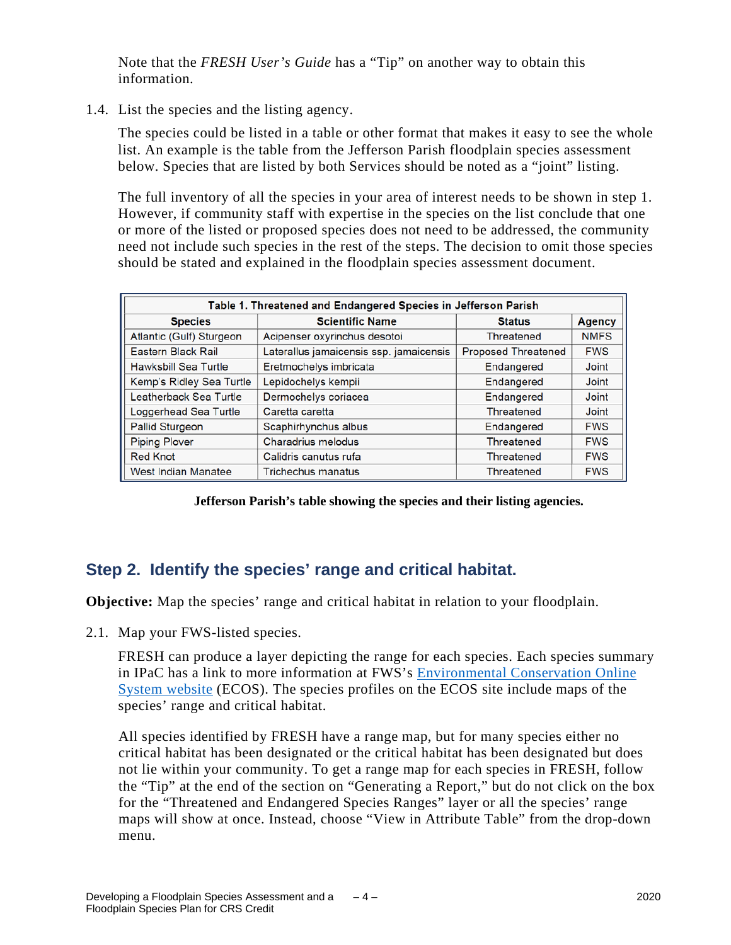Note that the *FRESH User's Guide* has a "Tip" on another way to obtain this information.

1.4. List the species and the listing agency.

The species could be listed in a table or other format that makes it easy to see the whole list. An example is the table from the Jefferson Parish floodplain species assessment below. Species that are listed by both Services should be noted as a "joint" listing.

The full inventory of all the species in your area of interest needs to be shown in step 1. However, if community staff with expertise in the species on the list conclude that one or more of the listed or proposed species does not need to be addressed, the community need not include such species in the rest of the steps. The decision to omit those species should be stated and explained in the floodplain species assessment document.

| Table 1. Threatened and Endangered Species in Jefferson Parish |                                         |                            |               |  |  |  |  |  |  |
|----------------------------------------------------------------|-----------------------------------------|----------------------------|---------------|--|--|--|--|--|--|
| <b>Species</b>                                                 | <b>Scientific Name</b>                  | <b>Status</b>              | <b>Agency</b> |  |  |  |  |  |  |
| Atlantic (Gulf) Sturgeon                                       | Acipenser oxyrinchus desotoi            | Threatened                 | <b>NMFS</b>   |  |  |  |  |  |  |
| Eastern Black Rail                                             | Laterallus jamaicensis ssp. jamaicensis | <b>Proposed Threatened</b> | <b>FWS</b>    |  |  |  |  |  |  |
| Hawksbill Sea Turtle                                           | Eretmochelys imbricata                  | Endangered                 | Joint         |  |  |  |  |  |  |
| Kemp's Ridley Sea Turtle                                       | Lepidochelys kempii                     | Endangered                 | Joint         |  |  |  |  |  |  |
| Leatherback Sea Turtle                                         | Dermochelys coriacea                    | Endangered                 | Joint         |  |  |  |  |  |  |
| Loggerhead Sea Turtle                                          | Caretta caretta                         | Threatened                 | Joint         |  |  |  |  |  |  |
| Pallid Sturgeon                                                | Scaphirhynchus albus                    | Endangered                 | <b>FWS</b>    |  |  |  |  |  |  |
| <b>Piping Plover</b>                                           | Charadrius melodus                      | Threatened                 | <b>FWS</b>    |  |  |  |  |  |  |
| <b>Red Knot</b>                                                | Calidris canutus rufa                   | Threatened                 | <b>FWS</b>    |  |  |  |  |  |  |
| West Indian Manatee                                            | <b>Trichechus manatus</b>               | Threatened                 | <b>FWS</b>    |  |  |  |  |  |  |

**Jefferson Parish's table showing the species and their listing agencies.**

#### **Step 2. Identify the species' range and critical habitat.**

**Objective:** Map the species' range and critical habitat in relation to your floodplain.

2.1. Map your FWS-listed species.

FRESH can produce a layer depicting the range for each species. Each species summary in IPaC has a link to more information at FWS's Environmental [Conservation Online](https://ecos.fws.gov/ecp)  [System website](https://ecos.fws.gov/ecp) (ECOS). The species profiles on the ECOS site include maps of the species' range and critical habitat.

All species identified by FRESH have a range map, but for many species either no critical habitat has been designated or the critical habitat has been designated but does not lie within your community. To get a range map for each species in FRESH, follow the "Tip" at the end of the section on "Generating a Report," but do not click on the box for the "Threatened and Endangered Species Ranges" layer or all the species' range maps will show at once. Instead, choose "View in Attribute Table" from the drop-down menu.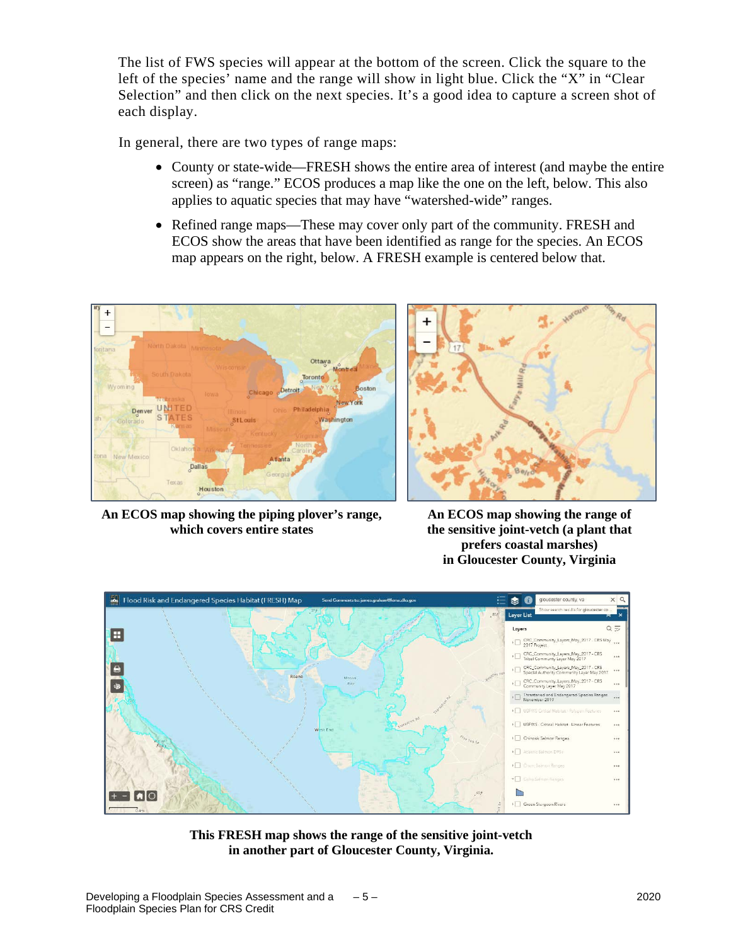The list of FWS species will appear at the bottom of the screen. Click the square to the left of the species' name and the range will show in light blue. Click the "X" in "Clear Selection" and then click on the next species. It's a good idea to capture a screen shot of each display.

In general, there are two types of range maps:

- County or state-wide—FRESH shows the entire area of interest (and maybe the entire screen) as "range." ECOS produces a map like the one on the left, below. This also applies to aquatic species that may have "watershed-wide" ranges.
- Refined range maps—These may cover only part of the community. FRESH and ECOS show the areas that have been identified as range for the species. An ECOS map appears on the right, below. A FRESH example is centered below that.



**An ECOS map showing the piping plover's range, which covers entire states**



**An ECOS map showing the range of the sensitive joint-vetch (a plant that prefers coastal marshes) in Gloucester County, Virginia**



**This FRESH map shows the range of the sensitive joint-vetch in another part of Gloucester County, Virginia.**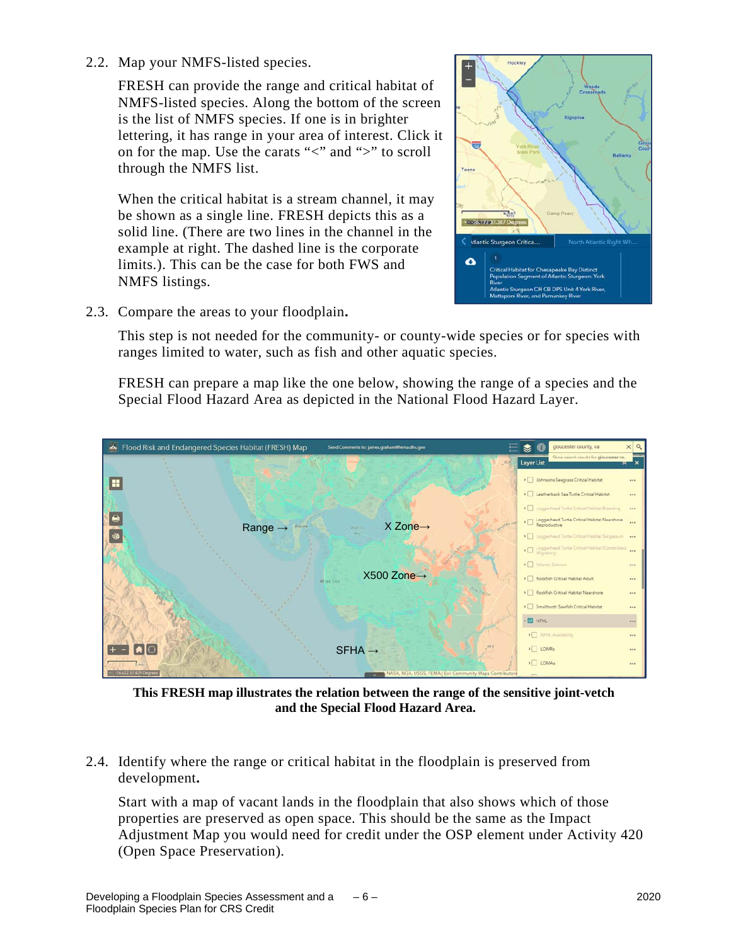2.2. Map your NMFS-listed species.

FRESH can provide the range and critical habitat of NMFS-listed species. Along the bottom of the screen is the list of NMFS species. If one is in brighter lettering, it has range in your area of interest. Click it on for the map. Use the carats " $\lt$ " and " $\gt$ " to scroll through the NMFS list.

When the critical habitat is a stream channel, it may be shown as a single line. FRESH depicts this as a solid line. (There are two lines in the channel in the example at right. The dashed line is the corporate limits.). This can be the case for both FWS and NMFS listings.



2.3. Compare the areas to your floodplain**.** 

This step is not needed for the community- or county-wide species or for species with ranges limited to water, such as fish and other aquatic species.

FRESH can prepare a map like the one below, showing the range of a species and the Special Flood Hazard Area as depicted in the National Flood Hazard Layer.



**This FRESH map illustrates the relation between the range of the sensitive joint-vetch and the Special Flood Hazard Area.**

2.4. Identify where the range or critical habitat in the floodplain is preserved from development**.** 

Start with a map of vacant lands in the floodplain that also shows which of those properties are preserved as open space. This should be the same as the Impact Adjustment Map you would need for credit under the OSP element under Activity 420 (Open Space Preservation).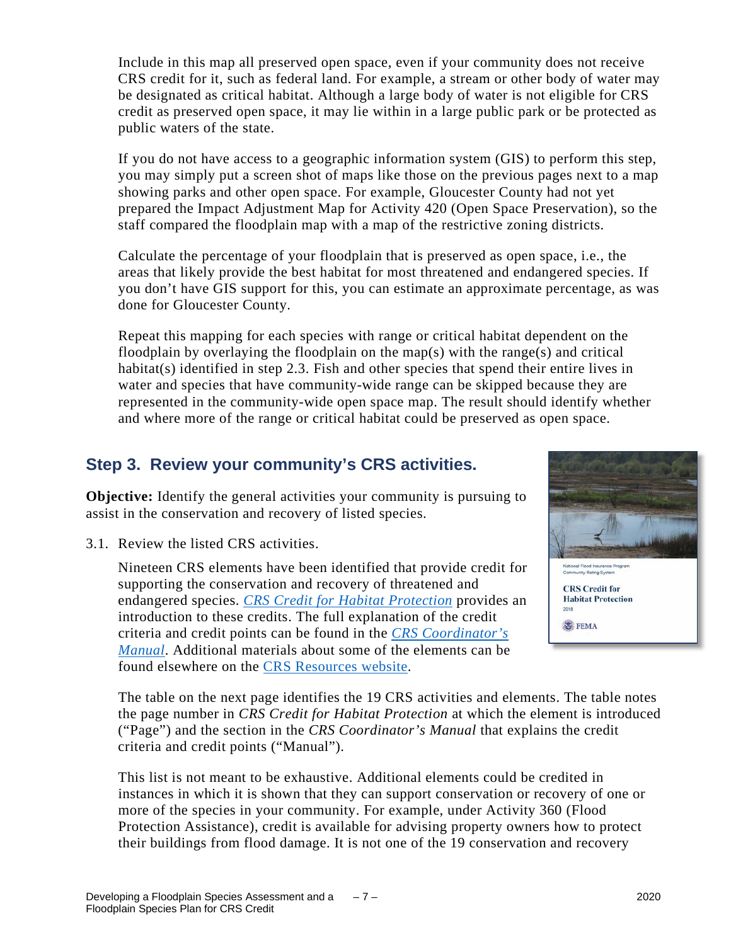Include in this map all preserved open space, even if your community does not receive CRS credit for it, such as federal land. For example, a stream or other body of water may be designated as critical habitat. Although a large body of water is not eligible for CRS credit as preserved open space, it may lie within in a large public park or be protected as public waters of the state.

If you do not have access to a geographic information system (GIS) to perform this step, you may simply put a screen shot of maps like those on the previous pages next to a map showing parks and other open space. For example, Gloucester County had not yet prepared the Impact Adjustment Map for Activity 420 (Open Space Preservation), so the staff compared the floodplain map with a map of the restrictive zoning districts.

Calculate the percentage of your floodplain that is preserved as open space, i.e., the areas that likely provide the best habitat for most threatened and endangered species. If you don't have GIS support for this, you can estimate an approximate percentage, as was done for Gloucester County.

Repeat this mapping for each species with range or critical habitat dependent on the floodplain by overlaying the floodplain on the map(s) with the range(s) and critical habitat(s) identified in step 2.3. Fish and other species that spend their entire lives in water and species that have community-wide range can be skipped because they are represented in the community-wide open space map. The result should identify whether and where more of the range or critical habitat could be preserved as open space.

#### **Step 3. Review your community's CRS activities.**

**Objective:** Identify the general activities your community is pursuing to assist in the conservation and recovery of listed species.

3.1. Review the listed CRS activities.

Nineteen CRS elements have been identified that provide credit for supporting the conservation and recovery of threatened and endangered species. *[CRS Credit for Habitat Protection](https://crsresources.org/files/guides/crs-credit-for-habitat-protection.pdf)* provides an introduction to these credits. The full explanation of the credit criteria and credit points can be found in the *[CRS Coordinator's](https://crsresources.org/manual/)  [Manual](https://crsresources.org/manual/)*. Additional materials about some of the elements can be found elsewhere on the [CRS Resources website.](http://www.crsresources.org/)



The table on the next page identifies the 19 CRS activities and elements. The table notes the page number in *CRS Credit for Habitat Protection* at which the element is introduced ("Page") and the section in the *CRS Coordinator's Manual* that explains the credit criteria and credit points ("Manual").

This list is not meant to be exhaustive. Additional elements could be credited in instances in which it is shown that they can support conservation or recovery of one or more of the species in your community. For example, under Activity 360 (Flood Protection Assistance), credit is available for advising property owners how to protect their buildings from flood damage. It is not one of the 19 conservation and recovery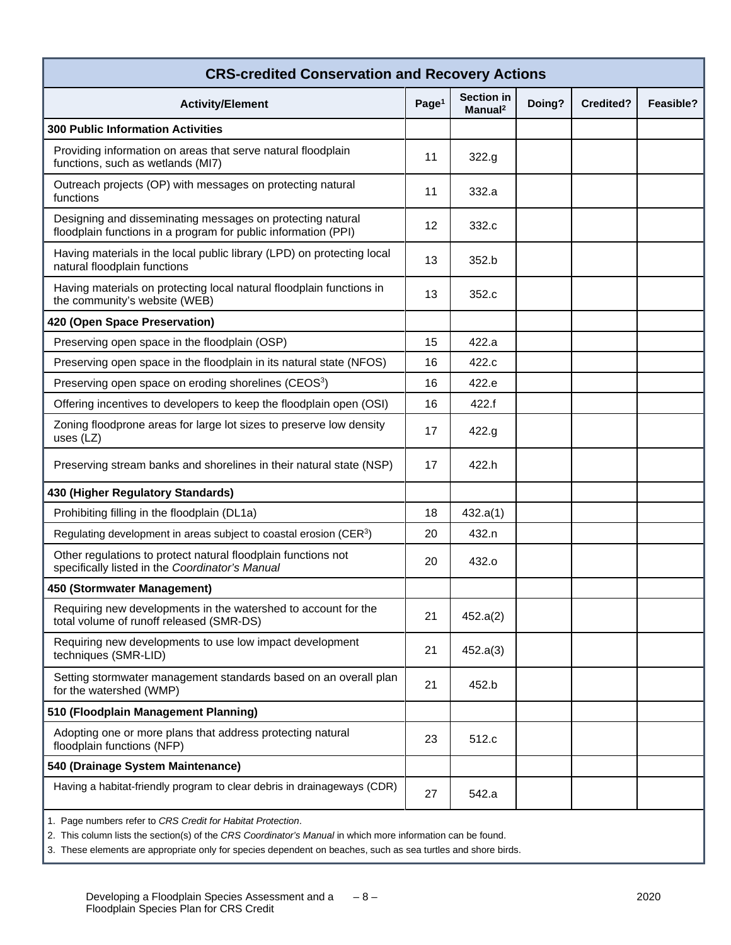| <b>CRS-credited Conservation and Recovery Actions</b>                                                                        |                   |                                          |        |                  |           |  |  |  |
|------------------------------------------------------------------------------------------------------------------------------|-------------------|------------------------------------------|--------|------------------|-----------|--|--|--|
| <b>Activity/Element</b>                                                                                                      | Page <sup>1</sup> | <b>Section in</b><br>Manual <sup>2</sup> | Doing? | <b>Credited?</b> | Feasible? |  |  |  |
| <b>300 Public Information Activities</b>                                                                                     |                   |                                          |        |                  |           |  |  |  |
| Providing information on areas that serve natural floodplain<br>functions, such as wetlands (MI7)                            | 11                | 322.g                                    |        |                  |           |  |  |  |
| Outreach projects (OP) with messages on protecting natural<br>functions                                                      | 11                | 332.a                                    |        |                  |           |  |  |  |
| Designing and disseminating messages on protecting natural<br>floodplain functions in a program for public information (PPI) | 12                | 332.c                                    |        |                  |           |  |  |  |
| Having materials in the local public library (LPD) on protecting local<br>natural floodplain functions                       | 13                | 352.b                                    |        |                  |           |  |  |  |
| Having materials on protecting local natural floodplain functions in<br>the community's website (WEB)                        | 13                | 352.c                                    |        |                  |           |  |  |  |
| 420 (Open Space Preservation)                                                                                                |                   |                                          |        |                  |           |  |  |  |
| Preserving open space in the floodplain (OSP)                                                                                | 15                | 422.a                                    |        |                  |           |  |  |  |
| Preserving open space in the floodplain in its natural state (NFOS)                                                          | 16                | 422.c                                    |        |                  |           |  |  |  |
| Preserving open space on eroding shorelines (CEOS <sup>3</sup> )                                                             | 16                | 422.e                                    |        |                  |           |  |  |  |
| Offering incentives to developers to keep the floodplain open (OSI)                                                          | 16                | 422.f                                    |        |                  |           |  |  |  |
| Zoning floodprone areas for large lot sizes to preserve low density<br>uses (LZ)                                             | 17                | 422.g                                    |        |                  |           |  |  |  |
| Preserving stream banks and shorelines in their natural state (NSP)                                                          | 17                | 422.h                                    |        |                  |           |  |  |  |
| 430 (Higher Regulatory Standards)                                                                                            |                   |                                          |        |                  |           |  |  |  |
| Prohibiting filling in the floodplain (DL1a)                                                                                 | 18                | 432.a(1)                                 |        |                  |           |  |  |  |
| Regulating development in areas subject to coastal erosion (CER <sup>3</sup> )                                               | 20                | 432.n                                    |        |                  |           |  |  |  |
| Other regulations to protect natural floodplain functions not<br>specifically listed in the Coordinator's Manual             | 20                | 432.o                                    |        |                  |           |  |  |  |
| 450 (Stormwater Management)                                                                                                  |                   |                                          |        |                  |           |  |  |  |
| Requiring new developments in the watershed to account for the<br>total volume of runoff released (SMR-DS)                   | 21                | 452.a(2)                                 |        |                  |           |  |  |  |
| Requiring new developments to use low impact development<br>techniques (SMR-LID)                                             | 21                | 452.a(3)                                 |        |                  |           |  |  |  |
| Setting stormwater management standards based on an overall plan<br>for the watershed (WMP)                                  | 21                | 452.b                                    |        |                  |           |  |  |  |
| 510 (Floodplain Management Planning)                                                                                         |                   |                                          |        |                  |           |  |  |  |
| Adopting one or more plans that address protecting natural<br>floodplain functions (NFP)                                     | 23                | 512.c                                    |        |                  |           |  |  |  |
| 540 (Drainage System Maintenance)                                                                                            |                   |                                          |        |                  |           |  |  |  |
| Having a habitat-friendly program to clear debris in drainageways (CDR)                                                      | 27                | 542.a                                    |        |                  |           |  |  |  |
| 1. Page numbers refer to CRS Credit for Habitat Protection.                                                                  |                   |                                          |        |                  |           |  |  |  |

2. This column lists the section(s) of the *CRS Coordinator's Manual* in which more information can be found.

3. These elements are appropriate only for species dependent on beaches, such as sea turtles and shore birds.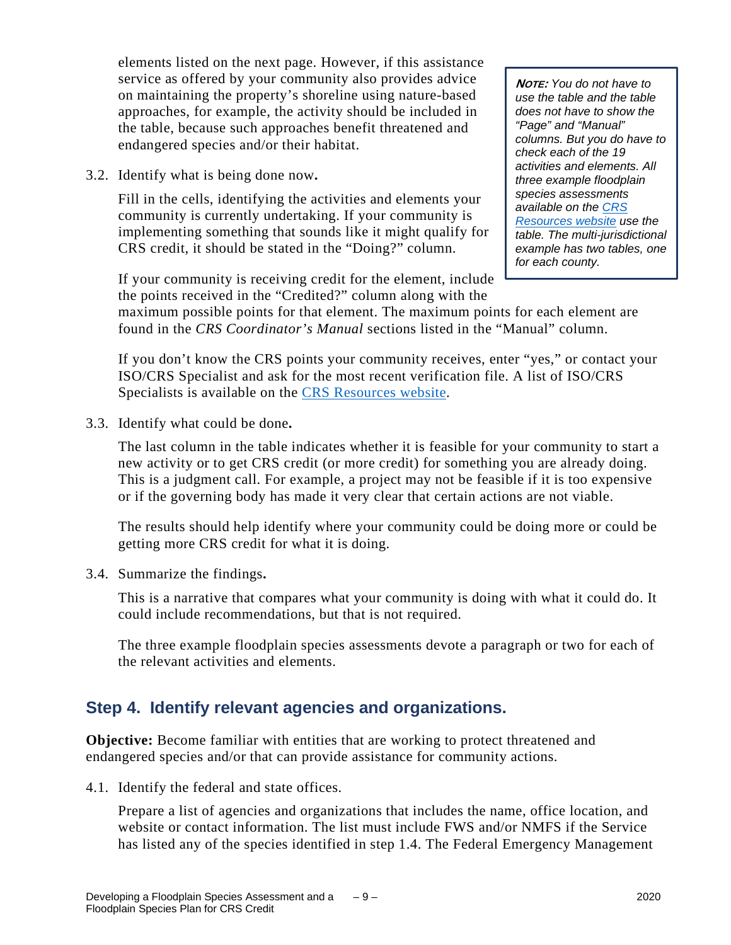elements listed on the next page. However, if this assistance service as offered by your community also provides advice on maintaining the property's shoreline using nature-based approaches, for example, the activity should be included in the table, because such approaches benefit threatened and endangered species and/or their habitat.

3.2. Identify what is being done now**.**

Fill in the cells, identifying the activities and elements your community is currently undertaking. If your community is implementing something that sounds like it might qualify for CRS credit, it should be stated in the "Doing?" column.

**NOTE:** *You do not have to use the table and the table does not have to show the "Page" and "Manual" columns. But you do have to check each of the 19 activities and elements. All three example floodplain species assessments available on the [CRS](http://www.crsresources.org/) [Resources](http://www.crsresources.org/) website use the table. The multi-jurisdictional example has two tables, one for each county.*

If your community is receiving credit for the element, include the points received in the "Credited?" column along with the

maximum possible points for that element. The maximum points for each element are found in the *CRS Coordinator's Manual* sections listed in the "Manual" column.

If you don't know the CRS points your community receives, enter "yes," or contact your ISO/CRS Specialist and ask for the most recent verification file. A list of ISO/CRS Specialists is available on the [CRS Resources website.](https://crsresources.org/100-2/)

3.3. Identify what could be done**.** 

The last column in the table indicates whether it is feasible for your community to start a new activity or to get CRS credit (or more credit) for something you are already doing. This is a judgment call. For example, a project may not be feasible if it is too expensive or if the governing body has made it very clear that certain actions are not viable.

The results should help identify where your community could be doing more or could be getting more CRS credit for what it is doing.

3.4. Summarize the findings**.**

This is a narrative that compares what your community is doing with what it could do. It could include recommendations, but that is not required.

The three example floodplain species assessments devote a paragraph or two for each of the relevant activities and elements.

#### **Step 4. Identify relevant agencies and organizations.**

**Objective:** Become familiar with entities that are working to protect threatened and endangered species and/or that can provide assistance for community actions.

4.1. Identify the federal and state offices.

Prepare a list of agencies and organizations that includes the name, office location, and website or contact information. The list must include FWS and/or NMFS if the Service has listed any of the species identified in step 1.4. The Federal Emergency Management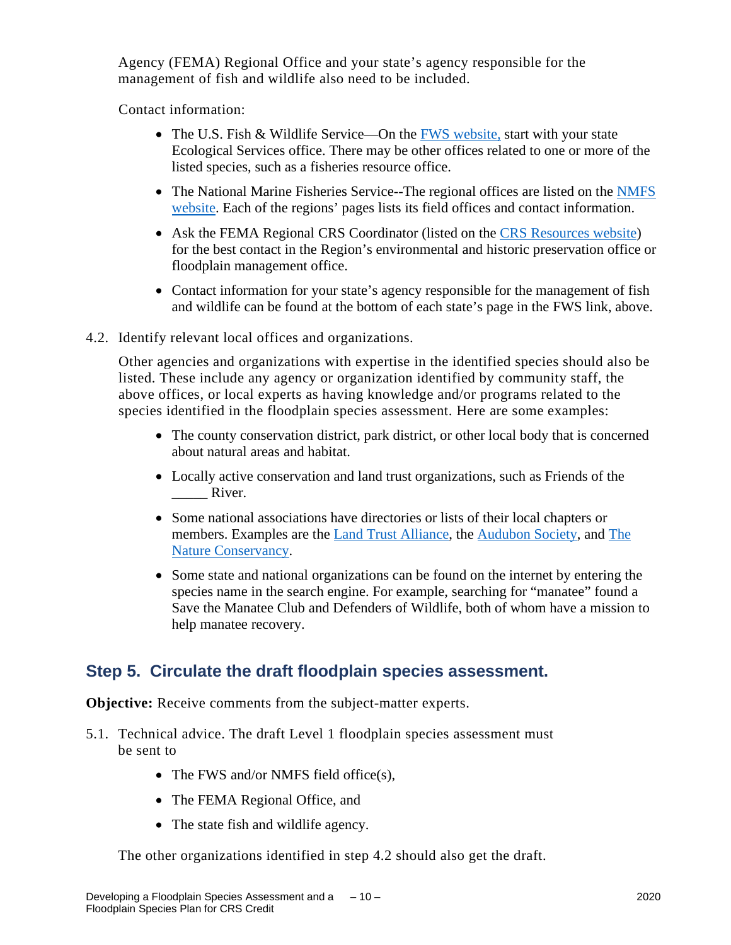Agency (FEMA) Regional Office and your state's agency responsible for the management of fish and wildlife also need to be included.

Contact information:

- The U.S. Fish & Wildlife Service—On the [FWS website,](http://www.fws.gov/offices/?ref=topbar) start with your state Ecological Services office. There may be other offices related to one or more of the listed species, such as a fisheries resource office.
- The National Marine Fisheries Service--The regional offices are listed on the NMFS website. Each of the regions' pages lists its field offices and contact information.
- Ask the FEMA Regional CRS Coordinator (listed on the [CRS Resources website\)](https://crsresources.org/100-2/) for the best contact in the Region's environmental and historic preservation office or floodplain management office.
- Contact information for your state's agency responsible for the management of fish and wildlife can be found at the bottom of each state's page in the FWS link, above.
- 4.2. Identify relevant local offices and organizations.

Other agencies and organizations with expertise in the identified species should also be listed. These include any agency or organization identified by community staff, the above offices, or local experts as having knowledge and/or programs related to the species identified in the floodplain species assessment. Here are some examples:

- The county conservation district, park district, or other local body that is concerned about natural areas and habitat.
- Locally active conservation and land trust organizations, such as Friends of the River.
- Some national associations have directories or lists of their local chapters or members. Examples are the [Land Trust Alliance,](http://www.landtrustalliance.org/) the [Audubon Society,](http://www.audubon.org/) and [The](http://www.nature.org/)  [Nature Conservancy.](http://www.nature.org/)
- Some state and national organizations can be found on the internet by entering the species name in the search engine. For example, searching for "manatee" found a Save the Manatee Club and Defenders of Wildlife, both of whom have a mission to help manatee recovery.

#### **Step 5. Circulate the draft floodplain species assessment.**

**Objective:** Receive comments from the subject-matter experts.

- 5.1. Technical advice. The draft Level 1 floodplain species assessment must be sent to
	- The FWS and/or NMFS field office(s),
	- The FEMA Regional Office, and
	- The state fish and wildlife agency.

The other organizations identified in step 4.2 should also get the draft.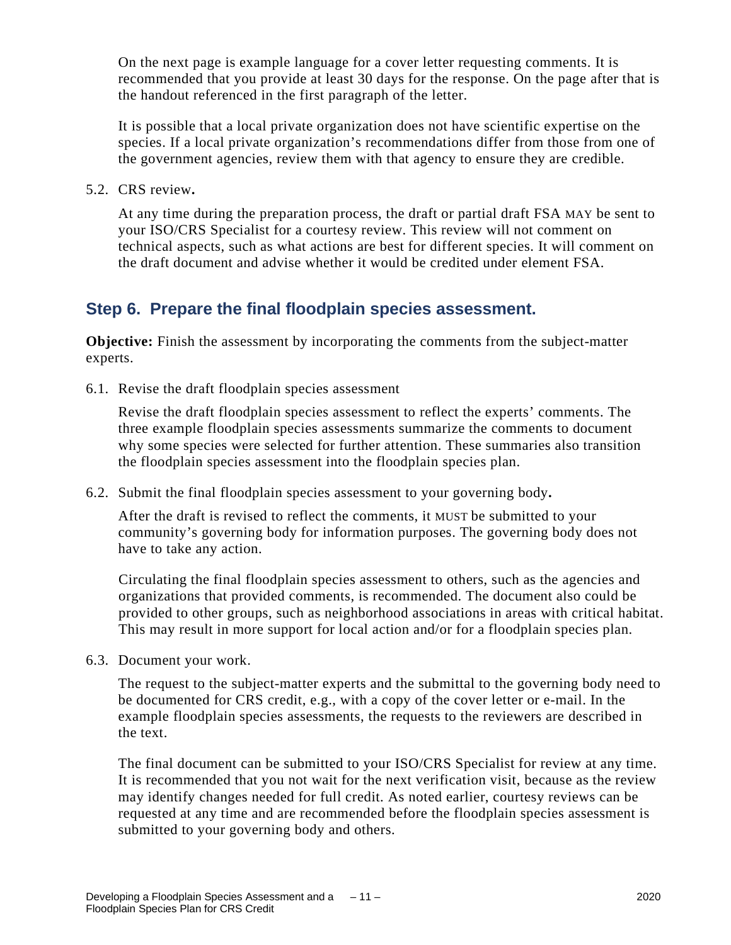On the next page is example language for a cover letter requesting comments. It is recommended that you provide at least 30 days for the response. On the page after that is the handout referenced in the first paragraph of the letter.

It is possible that a local private organization does not have scientific expertise on the species. If a local private organization's recommendations differ from those from one of the government agencies, review them with that agency to ensure they are credible.

5.2. CRS review**.** 

At any time during the preparation process, the draft or partial draft FSA MAY be sent to your ISO/CRS Specialist for a courtesy review. This review will not comment on technical aspects, such as what actions are best for different species. It will comment on the draft document and advise whether it would be credited under element FSA.

#### **Step 6. Prepare the final floodplain species assessment.**

**Objective:** Finish the assessment by incorporating the comments from the subject-matter experts.

6.1. Revise the draft floodplain species assessment

Revise the draft floodplain species assessment to reflect the experts' comments. The three example floodplain species assessments summarize the comments to document why some species were selected for further attention. These summaries also transition the floodplain species assessment into the floodplain species plan.

6.2. Submit the final floodplain species assessment to your governing body**.** 

After the draft is revised to reflect the comments, it MUST be submitted to your community's governing body for information purposes. The governing body does not have to take any action.

Circulating the final floodplain species assessment to others, such as the agencies and organizations that provided comments, is recommended. The document also could be provided to other groups, such as neighborhood associations in areas with critical habitat. This may result in more support for local action and/or for a floodplain species plan.

6.3. Document your work.

The request to the subject-matter experts and the submittal to the governing body need to be documented for CRS credit, e.g., with a copy of the cover letter or e-mail. In the example floodplain species assessments, the requests to the reviewers are described in the text.

The final document can be submitted to your ISO/CRS Specialist for review at any time. It is recommended that you not wait for the next verification visit, because as the review may identify changes needed for full credit. As noted earlier, courtesy reviews can be requested at any time and are recommended before the floodplain species assessment is submitted to your governing body and others.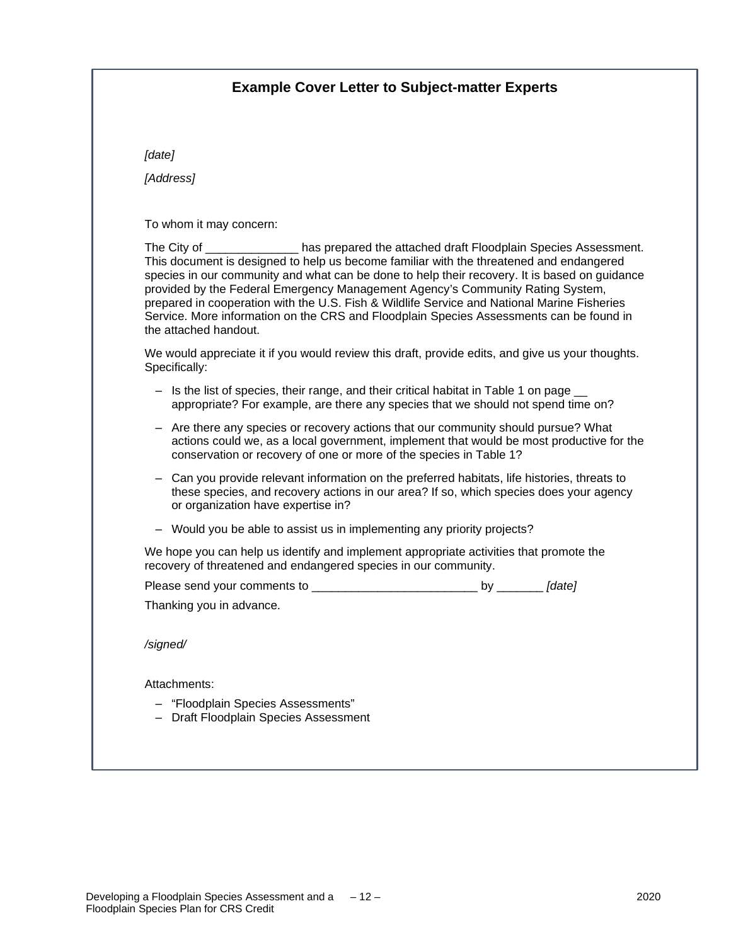#### **Example Cover Letter to Subject-matter Experts**

*[date]*

*[Address]*

To whom it may concern:

The City of \_\_\_\_\_\_\_\_\_\_\_\_\_\_ has prepared the attached draft Floodplain Species Assessment. This document is designed to help us become familiar with the threatened and endangered species in our community and what can be done to help their recovery. It is based on guidance provided by the Federal Emergency Management Agency's Community Rating System, prepared in cooperation with the U.S. Fish & Wildlife Service and National Marine Fisheries Service. More information on the CRS and Floodplain Species Assessments can be found in the attached handout.

We would appreciate it if you would review this draft, provide edits, and give us your thoughts. Specifically:

- Is the list of species, their range, and their critical habitat in Table 1 on page \_ appropriate? For example, are there any species that we should not spend time on?
- ‒ Are there any species or recovery actions that our community should pursue? What actions could we, as a local government, implement that would be most productive for the conservation or recovery of one or more of the species in Table 1?
- ‒ Can you provide relevant information on the preferred habitats, life histories, threats to these species, and recovery actions in our area? If so, which species does your agency or organization have expertise in?
- ‒ Would you be able to assist us in implementing any priority projects?

We hope you can help us identify and implement appropriate activities that promote the recovery of threatened and endangered species in our community.

Please send your comments to \_\_\_\_\_\_\_\_\_\_\_\_\_\_\_\_\_\_\_\_\_\_\_\_\_\_\_\_ by *[date]* 

Thanking you in advance.

*/signed/*

Attachments:

- ‒ "Floodplain Species Assessments"
- ‒ Draft Floodplain Species Assessment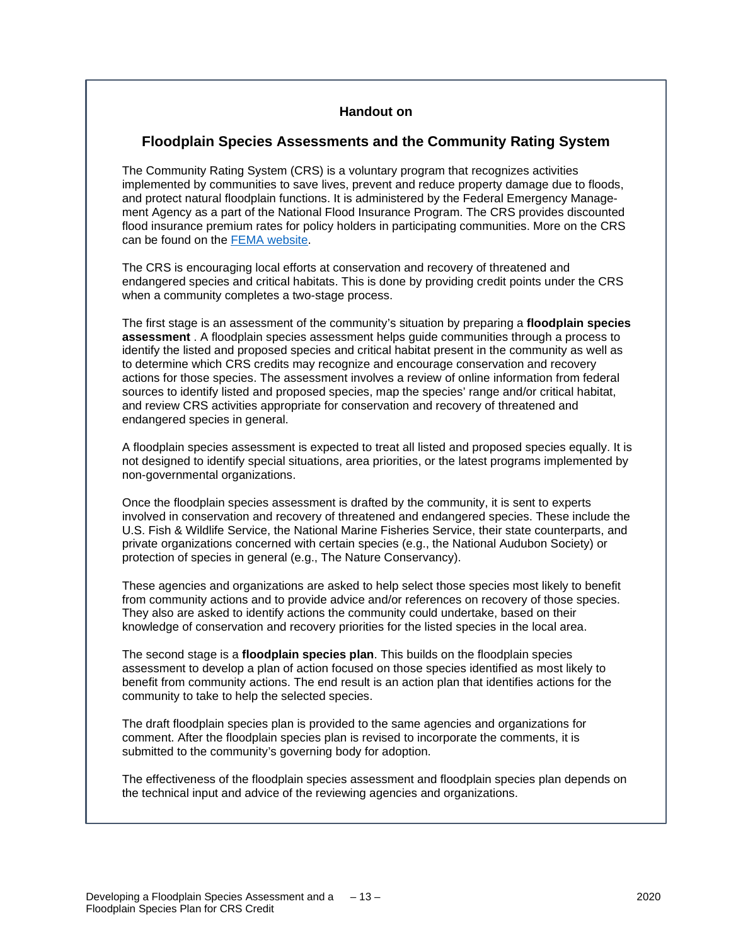#### **Handout on**

#### **Floodplain Species Assessments and the Community Rating System**

The Community Rating System (CRS) is a voluntary program that recognizes activities implemented by communities to save lives, prevent and reduce property damage due to floods, and protect natural floodplain functions. It is administered by the Federal Emergency Management Agency as a part of the National Flood Insurance Program. The CRS provides discounted flood insurance premium rates for policy holders in participating communities. More on the CRS can be found on the [FEMA website.](https://www.fema.gov/flood-insurance/rules-legislation/community-rating-system)

The CRS is encouraging local efforts at conservation and recovery of threatened and endangered species and critical habitats. This is done by providing credit points under the CRS when a community completes a two-stage process.

The first stage is an assessment of the community's situation by preparing a **floodplain species assessment** . A floodplain species assessment helps guide communities through a process to identify the listed and proposed species and critical habitat present in the community as well as to determine which CRS credits may recognize and encourage conservation and recovery actions for those species. The assessment involves a review of online information from federal sources to identify listed and proposed species, map the species' range and/or critical habitat, and review CRS activities appropriate for conservation and recovery of threatened and endangered species in general.

A floodplain species assessment is expected to treat all listed and proposed species equally. It is not designed to identify special situations, area priorities, or the latest programs implemented by non-governmental organizations.

Once the floodplain species assessment is drafted by the community, it is sent to experts involved in conservation and recovery of threatened and endangered species. These include the U.S. Fish & Wildlife Service, the National Marine Fisheries Service, their state counterparts, and private organizations concerned with certain species (e.g., the National Audubon Society) or protection of species in general (e.g., The Nature Conservancy).

These agencies and organizations are asked to help select those species most likely to benefit from community actions and to provide advice and/or references on recovery of those species. They also are asked to identify actions the community could undertake, based on their knowledge of conservation and recovery priorities for the listed species in the local area.

The second stage is a **floodplain species plan**. This builds on the floodplain species assessment to develop a plan of action focused on those species identified as most likely to benefit from community actions. The end result is an action plan that identifies actions for the community to take to help the selected species.

The draft floodplain species plan is provided to the same agencies and organizations for comment. After the floodplain species plan is revised to incorporate the comments, it is submitted to the community's governing body for adoption.

The effectiveness of the floodplain species assessment and floodplain species plan depends on the technical input and advice of the reviewing agencies and organizations.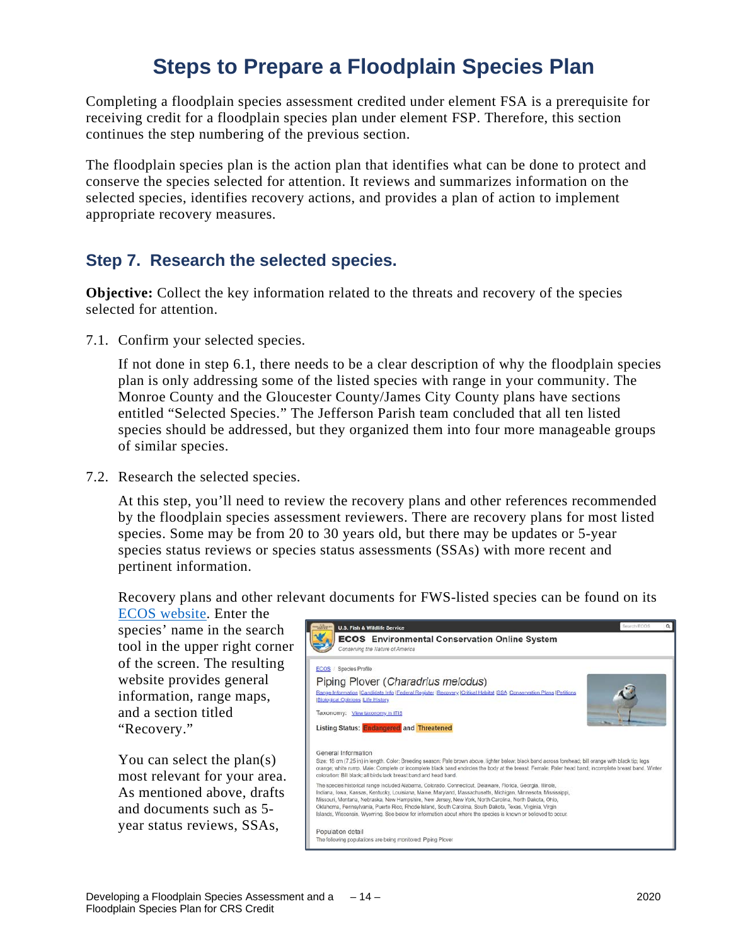## **Steps to Prepare a Floodplain Species Plan**

Completing a floodplain species assessment credited under element FSA is a prerequisite for receiving credit for a floodplain species plan under element FSP. Therefore, this section continues the step numbering of the previous section.

The floodplain species plan is the action plan that identifies what can be done to protect and conserve the species selected for attention. It reviews and summarizes information on the selected species, identifies recovery actions, and provides a plan of action to implement appropriate recovery measures.

#### **Step 7. Research the selected species.**

**Objective:** Collect the key information related to the threats and recovery of the species selected for attention.

7.1. Confirm your selected species.

If not done in step 6.1, there needs to be a clear description of why the floodplain species plan is only addressing some of the listed species with range in your community. The Monroe County and the Gloucester County/James City County plans have sections entitled "Selected Species." The Jefferson Parish team concluded that all ten listed species should be addressed, but they organized them into four more manageable groups of similar species.

7.2. Research the selected species.

At this step, you'll need to review the recovery plans and other references recommended by the floodplain species assessment reviewers. There are recovery plans for most listed species. Some may be from 20 to 30 years old, but there may be updates or 5-year species status reviews or species status assessments (SSAs) with more recent and pertinent information.

Recovery plans and other relevant documents for FWS-listed species can be found on its

[ECOS website.](https://ecos.fws.gov/ecp) Enter the species' name in the search tool in the upper right corner of the screen. The resulting website provides general information, range maps, and a section titled "Recovery."

You can select the plan(s) most relevant for your area. As mentioned above, drafts and documents such as 5 year status reviews, SSAs,

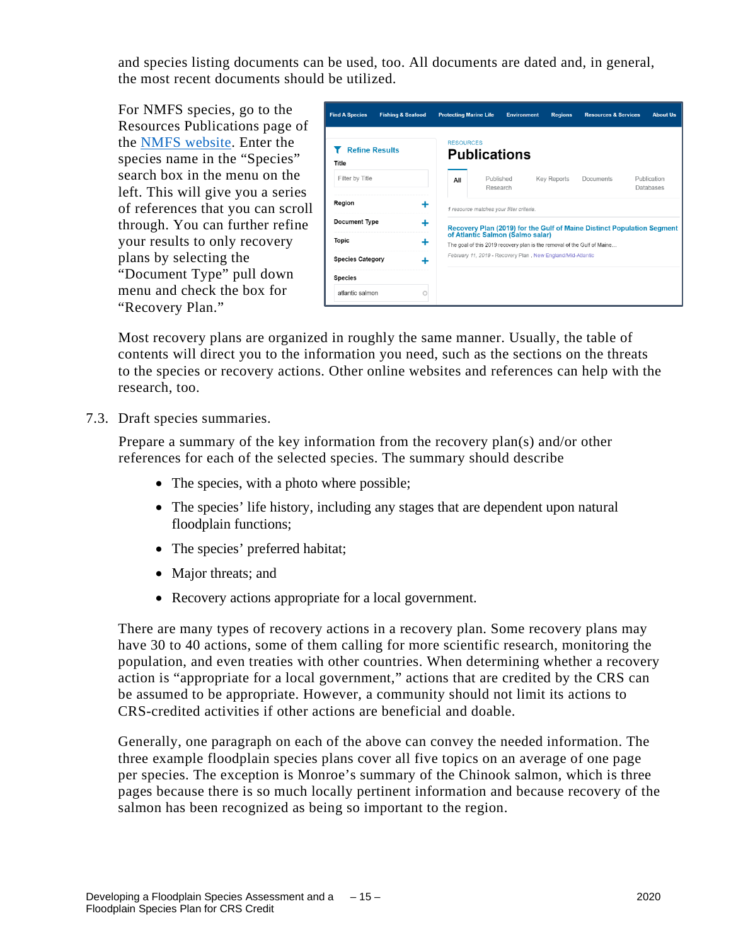and species listing documents can be used, too. All documents are dated and, in general, the most recent documents should be utilized.

For NMFS species, go to the Resources Publications page of the [NMFS website.](http://www.fisheries.noaa.gov/%20resources/all-publications) Enter the species name in the "Species" search box in the menu on the left. This will give you a series of references that you can scroll through. You can further refine your results to only recovery plans by selecting the "Document Type" pull down menu and check the box for "Recovery Plan."



Most recovery plans are organized in roughly the same manner. Usually, the table of contents will direct you to the information you need, such as the sections on the threats to the species or recovery actions. Other online websites and references can help with the research, too.

7.3. Draft species summaries.

Prepare a summary of the key information from the recovery plan(s) and/or other references for each of the selected species. The summary should describe

- The species, with a photo where possible;
- The species' life history, including any stages that are dependent upon natural floodplain functions;
- The species' preferred habitat;
- Major threats; and
- Recovery actions appropriate for a local government.

There are many types of recovery actions in a recovery plan. Some recovery plans may have 30 to 40 actions, some of them calling for more scientific research, monitoring the population, and even treaties with other countries. When determining whether a recovery action is "appropriate for a local government," actions that are credited by the CRS can be assumed to be appropriate. However, a community should not limit its actions to CRS-credited activities if other actions are beneficial and doable.

Generally, one paragraph on each of the above can convey the needed information. The three example floodplain species plans cover all five topics on an average of one page per species. The exception is Monroe's summary of the Chinook salmon, which is three pages because there is so much locally pertinent information and because recovery of the salmon has been recognized as being so important to the region.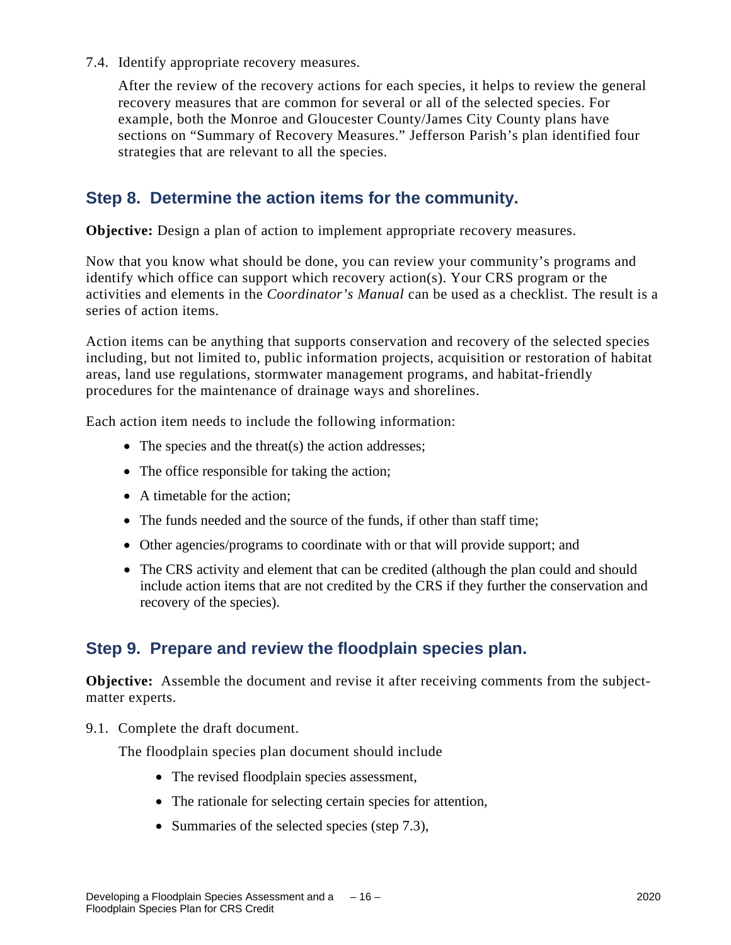7.4. Identify appropriate recovery measures.

After the review of the recovery actions for each species, it helps to review the general recovery measures that are common for several or all of the selected species. For example, both the Monroe and Gloucester County/James City County plans have sections on "Summary of Recovery Measures." Jefferson Parish's plan identified four strategies that are relevant to all the species.

#### **Step 8. Determine the action items for the community.**

**Objective:** Design a plan of action to implement appropriate recovery measures.

Now that you know what should be done, you can review your community's programs and identify which office can support which recovery action(s). Your CRS program or the activities and elements in the *Coordinator's Manual* can be used as a checklist. The result is a series of action items.

Action items can be anything that supports conservation and recovery of the selected species including, but not limited to, public information projects, acquisition or restoration of habitat areas, land use regulations, stormwater management programs, and habitat-friendly procedures for the maintenance of drainage ways and shorelines.

Each action item needs to include the following information:

- The species and the threat(s) the action addresses;
- The office responsible for taking the action;
- A timetable for the action:
- The funds needed and the source of the funds, if other than staff time;
- Other agencies/programs to coordinate with or that will provide support; and
- The CRS activity and element that can be credited (although the plan could and should include action items that are not credited by the CRS if they further the conservation and recovery of the species).

#### **Step 9. Prepare and review the floodplain species plan.**

**Objective:** Assemble the document and revise it after receiving comments from the subjectmatter experts.

9.1. Complete the draft document.

The floodplain species plan document should include

- The revised floodplain species assessment,
- The rationale for selecting certain species for attention,
- Summaries of the selected species (step 7.3),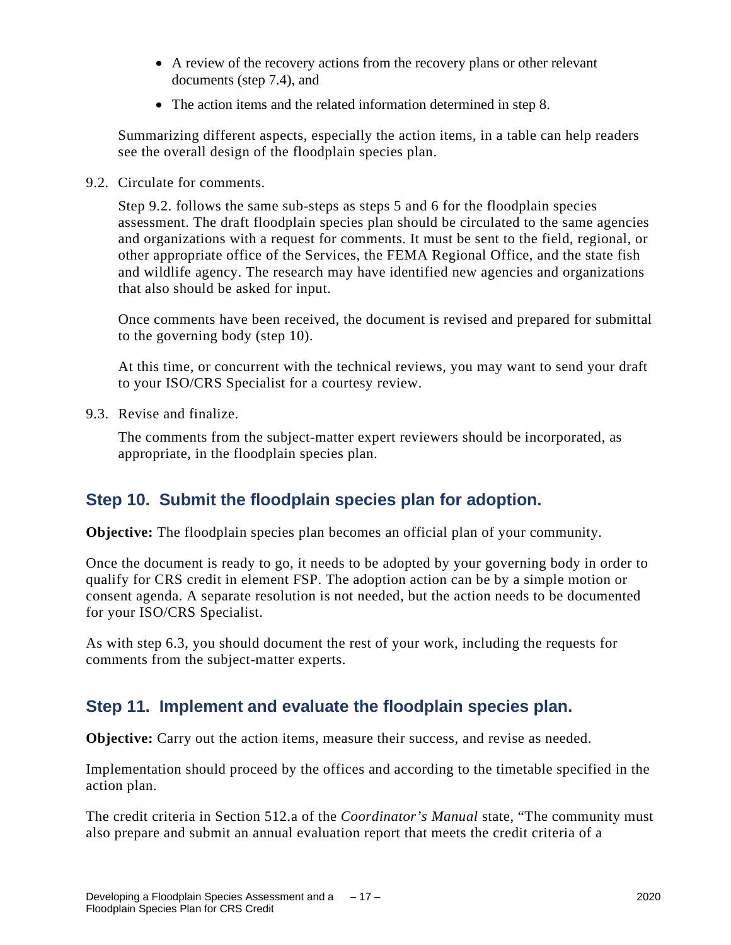- A review of the recovery actions from the recovery plans or other relevant documents (step 7.4), and
- The action items and the related information determined in step 8.

Summarizing different aspects, especially the action items, in a table can help readers see the overall design of the floodplain species plan.

9.2. Circulate for comments.

Step 9.2. follows the same sub-steps as steps 5 and 6 for the floodplain species assessment. The draft floodplain species plan should be circulated to the same agencies and organizations with a request for comments. It must be sent to the field, regional, or other appropriate office of the Services, the FEMA Regional Office, and the state fish and wildlife agency. The research may have identified new agencies and organizations that also should be asked for input.

Once comments have been received, the document is revised and prepared for submittal to the governing body (step 10).

At this time, or concurrent with the technical reviews, you may want to send your draft to your ISO/CRS Specialist for a courtesy review.

9.3. Revise and finalize.

The comments from the subject-matter expert reviewers should be incorporated, as appropriate, in the floodplain species plan.

#### **Step 10. Submit the floodplain species plan for adoption.**

**Objective:** The floodplain species plan becomes an official plan of your community.

Once the document is ready to go, it needs to be adopted by your governing body in order to qualify for CRS credit in element FSP. The adoption action can be by a simple motion or consent agenda. A separate resolution is not needed, but the action needs to be documented for your ISO/CRS Specialist.

As with step 6.3, you should document the rest of your work, including the requests for comments from the subject-matter experts.

#### **Step 11. Implement and evaluate the floodplain species plan.**

**Objective:** Carry out the action items, measure their success, and revise as needed.

Implementation should proceed by the offices and according to the timetable specified in the action plan.

The credit criteria in Section 512.a of the *Coordinator's Manual* state, "The community must also prepare and submit an annual evaluation report that meets the credit criteria of a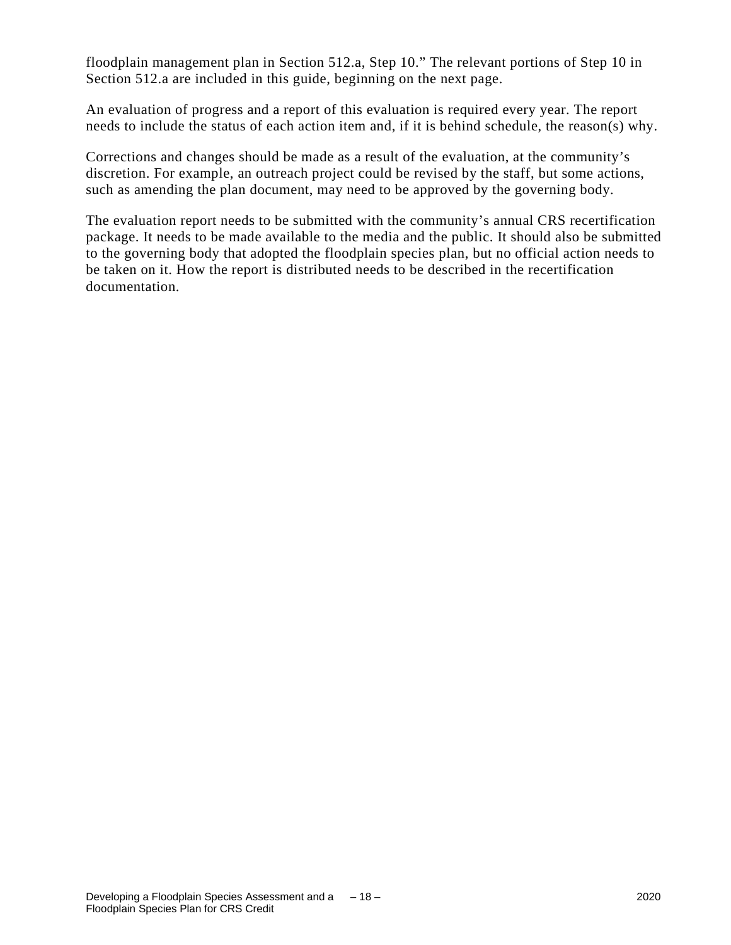floodplain management plan in Section 512.a, Step 10." The relevant portions of Step 10 in Section 512.a are included in this guide, beginning on the next page.

An evaluation of progress and a report of this evaluation is required every year. The report needs to include the status of each action item and, if it is behind schedule, the reason(s) why.

Corrections and changes should be made as a result of the evaluation, at the community's discretion. For example, an outreach project could be revised by the staff, but some actions, such as amending the plan document, may need to be approved by the governing body.

The evaluation report needs to be submitted with the community's annual CRS recertification package. It needs to be made available to the media and the public. It should also be submitted to the governing body that adopted the floodplain species plan, but no official action needs to be taken on it. How the report is distributed needs to be described in the recertification documentation.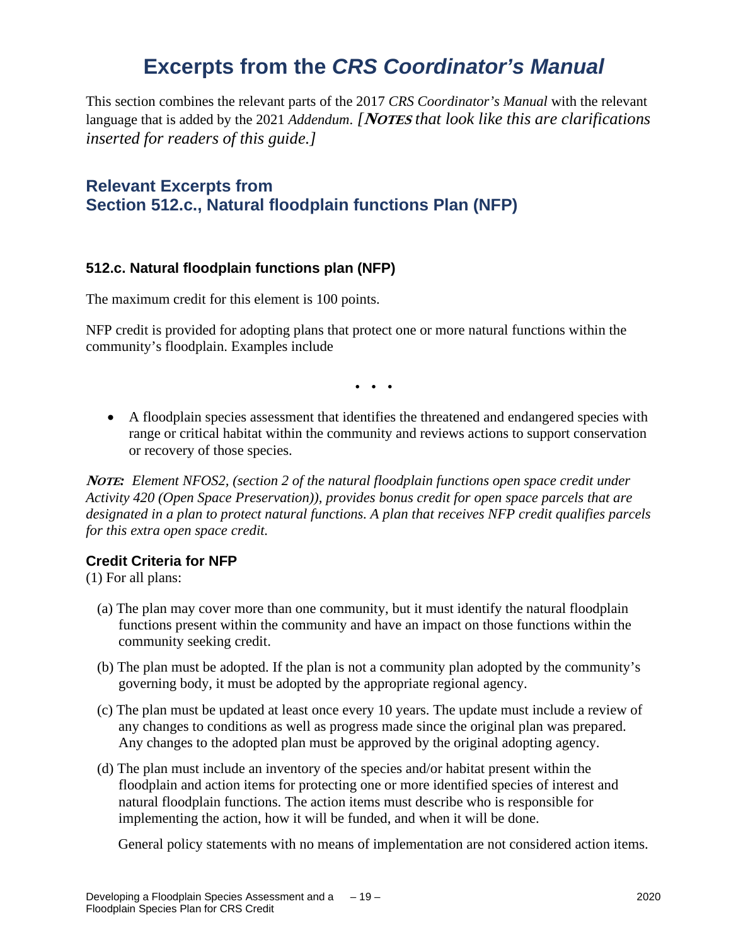### **Excerpts from the** *CRS Coordinator's Manual*

This section combines the relevant parts of the 2017 *CRS Coordinator's Manual* with the relevant language that is added by the 2021 *Addendum*. *[***NOTES** *that look like this are clarifications inserted for readers of this guide.]*

#### **Relevant Excerpts from Section 512.c., Natural floodplain functions Plan (NFP)**

#### **512.c. Natural floodplain functions plan (NFP)**

The maximum credit for this element is 100 points.

NFP credit is provided for adopting plans that protect one or more natural functions within the community's floodplain. Examples include

**. . .**

• A floodplain species assessment that identifies the threatened and endangered species with range or critical habitat within the community and reviews actions to support conservation or recovery of those species.

**NOTE***: Element NFOS2, (section 2 of the natural floodplain functions open space credit under Activity 420 (Open Space Preservation)), provides bonus credit for open space parcels that are designated in a plan to protect natural functions. A plan that receives NFP credit qualifies parcels for this extra open space credit.*

#### **Credit Criteria for NFP**

(1) For all plans:

- (a) The plan may cover more than one community, but it must identify the natural floodplain functions present within the community and have an impact on those functions within the community seeking credit.
- (b) The plan must be adopted. If the plan is not a community plan adopted by the community's governing body, it must be adopted by the appropriate regional agency.
- (c) The plan must be updated at least once every 10 years. The update must include a review of any changes to conditions as well as progress made since the original plan was prepared. Any changes to the adopted plan must be approved by the original adopting agency.
- (d) The plan must include an inventory of the species and/or habitat present within the floodplain and action items for protecting one or more identified species of interest and natural floodplain functions. The action items must describe who is responsible for implementing the action, how it will be funded, and when it will be done.

General policy statements with no means of implementation are not considered action items.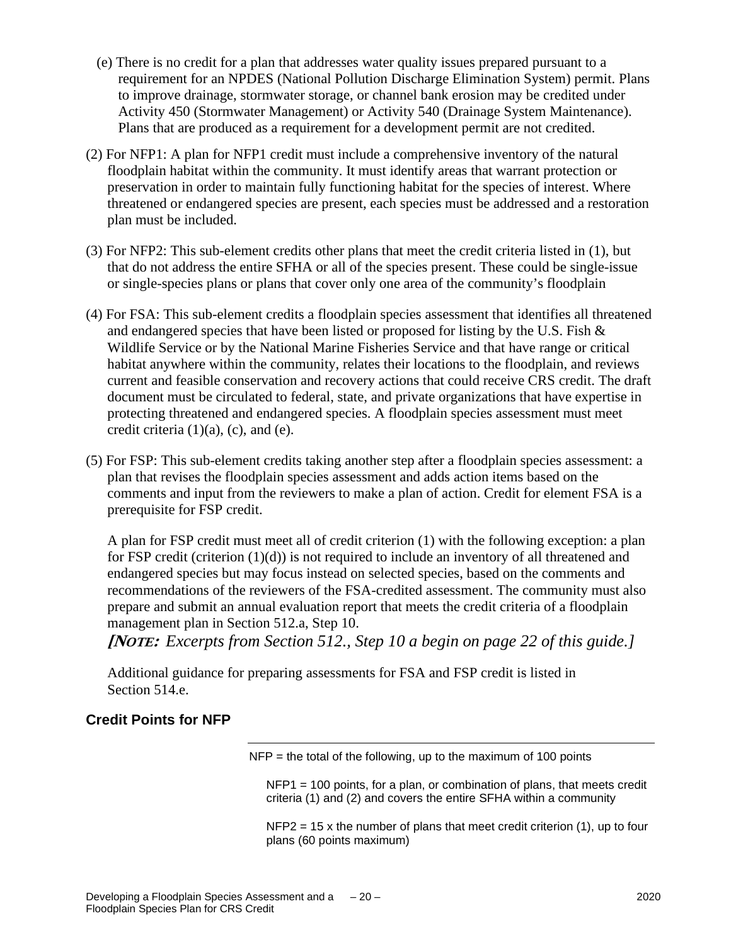- (e) There is no credit for a plan that addresses water quality issues prepared pursuant to a requirement for an NPDES (National Pollution Discharge Elimination System) permit. Plans to improve drainage, stormwater storage, or channel bank erosion may be credited under Activity 450 (Stormwater Management) or Activity 540 (Drainage System Maintenance). Plans that are produced as a requirement for a development permit are not credited.
- (2) For NFP1: A plan for NFP1 credit must include a comprehensive inventory of the natural floodplain habitat within the community. It must identify areas that warrant protection or preservation in order to maintain fully functioning habitat for the species of interest. Where threatened or endangered species are present, each species must be addressed and a restoration plan must be included.
- (3) For NFP2: This sub-element credits other plans that meet the credit criteria listed in (1), but that do not address the entire SFHA or all of the species present. These could be single-issue or single-species plans or plans that cover only one area of the community's floodplain
- (4) For FSA: This sub-element credits a floodplain species assessment that identifies all threatened and endangered species that have been listed or proposed for listing by the U.S. Fish & Wildlife Service or by the National Marine Fisheries Service and that have range or critical habitat anywhere within the community, relates their locations to the floodplain, and reviews current and feasible conservation and recovery actions that could receive CRS credit. The draft document must be circulated to federal, state, and private organizations that have expertise in protecting threatened and endangered species. A floodplain species assessment must meet credit criteria  $(1)(a)$ ,  $(c)$ , and  $(e)$ .
- (5) For FSP: This sub-element credits taking another step after a floodplain species assessment: a plan that revises the floodplain species assessment and adds action items based on the comments and input from the reviewers to make a plan of action. Credit for element FSA is a prerequisite for FSP credit.

A plan for FSP credit must meet all of credit criterion (1) with the following exception: a plan for FSP credit (criterion (1)(d)) is not required to include an inventory of all threatened and endangered species but may focus instead on selected species, based on the comments and recommendations of the reviewers of the FSA-credited assessment. The community must also prepare and submit an annual evaluation report that meets the credit criteria of a floodplain management plan in Section 512.a, Step 10.

**[NOTE:** *Excerpts from Section 512., Step 10 a begin on page 22 of this guide.]*

Additional guidance for preparing assessments for FSA and FSP credit is listed in Section 514.e.

#### **Credit Points for NFP**

 $NFP =$  the total of the following, up to the maximum of 100 points

NFP1 = 100 points, for a plan, or combination of plans, that meets credit criteria (1) and (2) and covers the entire SFHA within a community

 $NFP2 = 15$  x the number of plans that meet credit criterion (1), up to four plans (60 points maximum)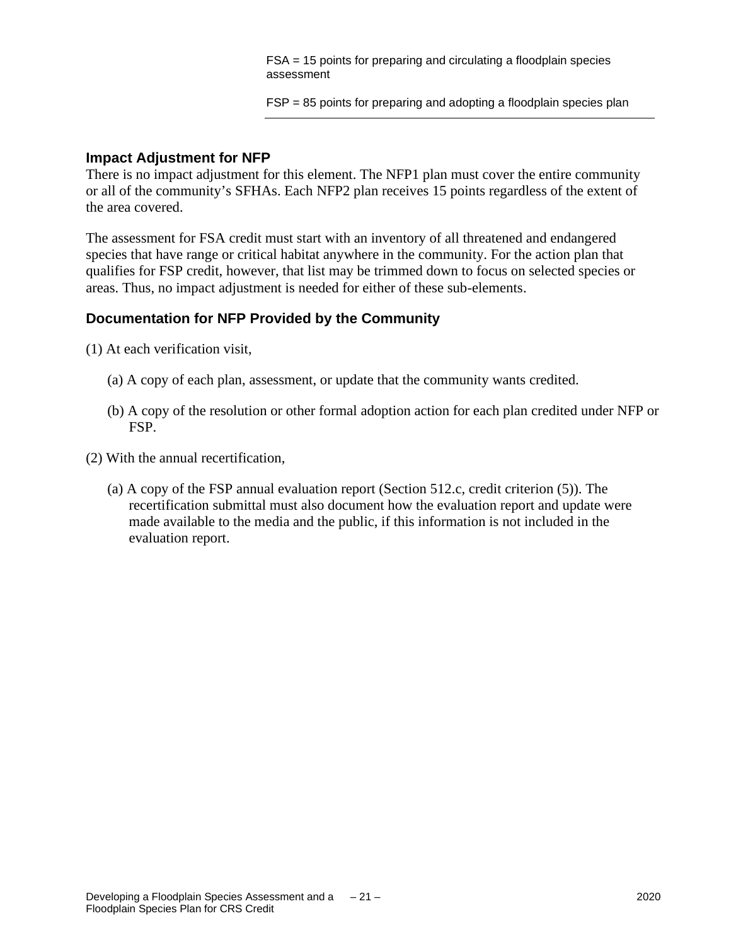FSA = 15 points for preparing and circulating a floodplain species assessment

FSP = 85 points for preparing and adopting a floodplain species plan

#### **Impact Adjustment for NFP**

There is no impact adjustment for this element. The NFP1 plan must cover the entire community or all of the community's SFHAs. Each NFP2 plan receives 15 points regardless of the extent of the area covered.

The assessment for FSA credit must start with an inventory of all threatened and endangered species that have range or critical habitat anywhere in the community. For the action plan that qualifies for FSP credit, however, that list may be trimmed down to focus on selected species or areas. Thus, no impact adjustment is needed for either of these sub-elements.

#### **Documentation for NFP Provided by the Community**

(1) At each verification visit,

- (a) A copy of each plan, assessment, or update that the community wants credited.
- (b) A copy of the resolution or other formal adoption action for each plan credited under NFP or FSP.
- (2) With the annual recertification,
	- (a) A copy of the FSP annual evaluation report (Section 512.c, credit criterion (5)). The recertification submittal must also document how the evaluation report and update were made available to the media and the public, if this information is not included in the evaluation report.